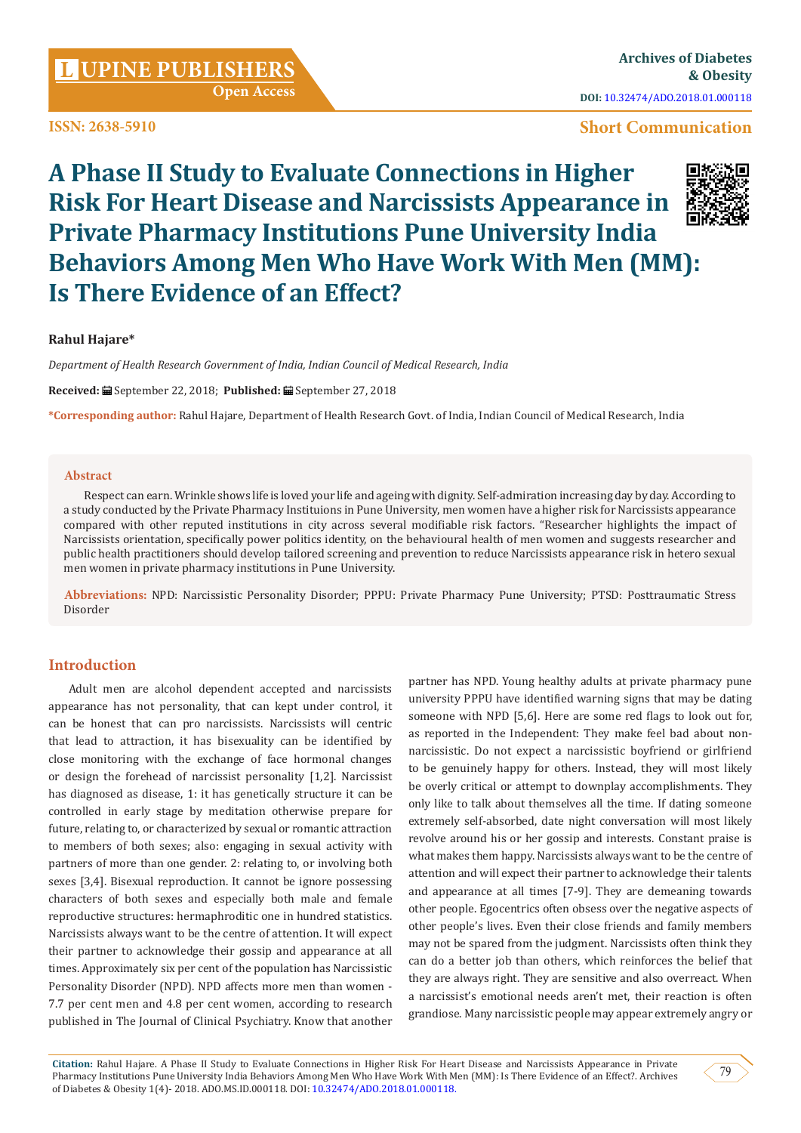**ISSN: 2638-5910**

## **Short Communication**

# **A Phase II Study to Evaluate Connections in Higher Risk For Heart Disease and Narcissists Appearance in Private Pharmacy Institutions Pune University India Behaviors Among Men Who Have Work With Men (MM): Is There Evidence of an Effect?**



### **Rahul Hajare\***

*Department of Health Research Government of India, Indian Council of Medical Research, India*

**Received:** September 22, 2018; **Published:** September 27, 2018

**\*Corresponding author:** Rahul Hajare, Department of Health Research Govt. of India, Indian Council of Medical Research, India

#### **Abstract**

Respect can earn. Wrinkle shows life is loved your life and ageing with dignity. Self-admiration increasing day by day. According to a study conducted by the Private Pharmacy Instituions in Pune University, men women have a higher risk for Narcissists appearance compared with other reputed institutions in city across several modifiable risk factors. "Researcher highlights the impact of Narcissists orientation, specifically power politics identity, on the behavioural health of men women and suggests researcher and public health practitioners should develop tailored screening and prevention to reduce Narcissists appearance risk in hetero sexual men women in private pharmacy institutions in Pune University.

**Abbreviations:** NPD: Narcissistic Personality Disorder; PPPU: Private Pharmacy Pune University; PTSD: Posttraumatic Stress Disorder

## **Introduction**

Adult men are alcohol dependent accepted and narcissists appearance has not personality, that can kept under control, it can be honest that can pro narcissists. Narcissists will centric that lead to attraction, it has bisexuality can be identified by close monitoring with the exchange of face hormonal changes or design the forehead of narcissist personality [1,2]. Narcissist has diagnosed as disease, 1: it has genetically structure it can be controlled in early stage by meditation otherwise prepare for future, relating to, or characterized by sexual or romantic attraction to members of both sexes; also: engaging in sexual activity with partners of more than one gender. 2: relating to, or involving both sexes [3,4]. Bisexual reproduction. It cannot be ignore possessing characters of both sexes and especially both male and female reproductive structures: hermaphroditic one in hundred statistics. Narcissists always want to be the centre of attention. It will expect their partner to acknowledge their gossip and appearance at all times. Approximately six per cent of the population has Narcissistic Personality Disorder (NPD). NPD affects more men than women - 7.7 per cent men and 4.8 per cent women, according to research published in The Journal of Clinical Psychiatry. Know that another

partner has NPD. Young healthy adults at private pharmacy pune university PPPU have identified warning signs that may be dating someone with NPD [5,6]. Here are some red flags to look out for, as reported in the Independent: They make feel bad about nonnarcissistic. Do not expect a narcissistic boyfriend or girlfriend to be genuinely happy for others. Instead, they will most likely be overly critical or attempt to downplay accomplishments. They only like to talk about themselves all the time. If dating someone extremely self-absorbed, date night conversation will most likely revolve around his or her gossip and interests. Constant praise is what makes them happy. Narcissists always want to be the centre of attention and will expect their partner to acknowledge their talents and appearance at all times [7-9]. They are demeaning towards other people. Egocentrics often obsess over the negative aspects of other people's lives. Even their close friends and family members may not be spared from the judgment. Narcissists often think they can do a better job than others, which reinforces the belief that they are always right. They are sensitive and also overreact. When a narcissist's emotional needs aren't met, their reaction is often grandiose. Many narcissistic people may appear extremely angry or

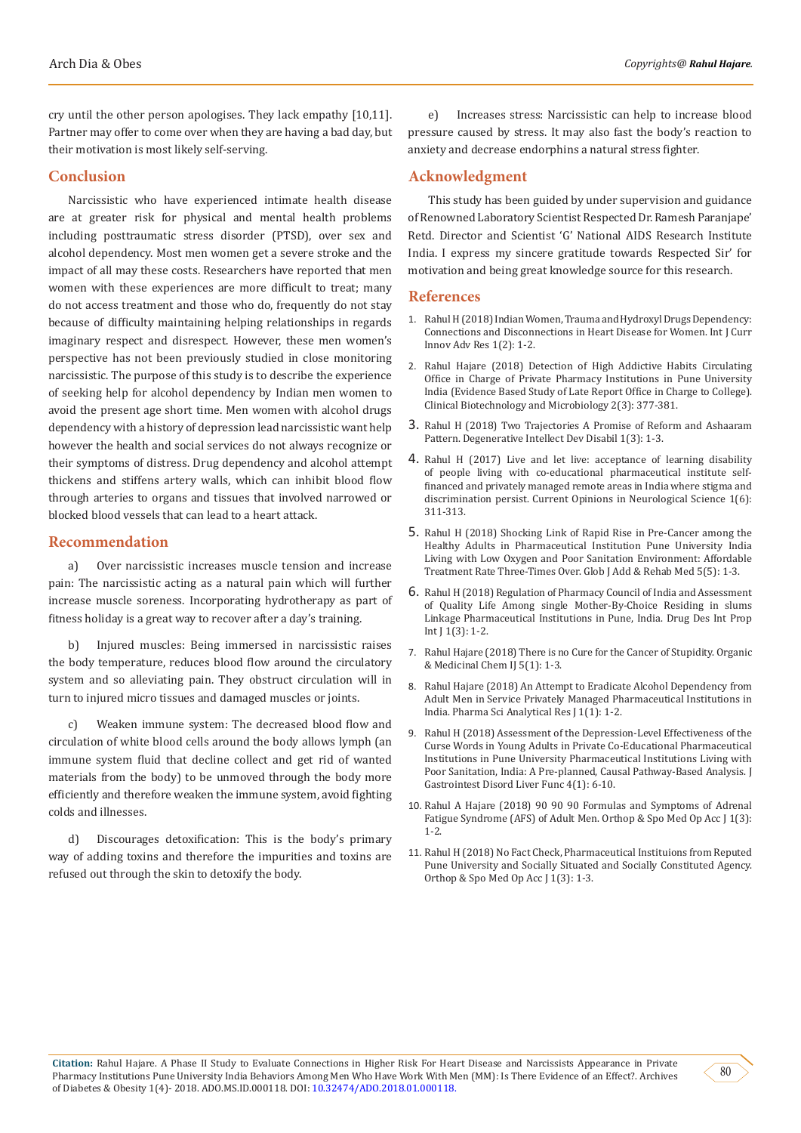cry until the other person apologises. They lack empathy [10,11]. Partner may offer to come over when they are having a bad day, but their motivation is most likely self-serving.

#### **Conclusion**

Narcissistic who have experienced intimate health disease are at greater risk for physical and mental health problems including posttraumatic stress disorder (PTSD), over sex and alcohol dependency. Most men women get a severe stroke and the impact of all may these costs. Researchers have reported that men women with these experiences are more difficult to treat; many do not access treatment and those who do, frequently do not stay because of difficulty maintaining helping relationships in regards imaginary respect and disrespect. However, these men women's perspective has not been previously studied in close monitoring narcissistic. The purpose of this study is to describe the experience of seeking help for alcohol dependency by Indian men women to avoid the present age short time. Men women with alcohol drugs dependency with a history of depression lead narcissistic want help however the health and social services do not always recognize or their symptoms of distress. Drug dependency and alcohol attempt thickens and stiffens artery walls, which can inhibit blood flow through arteries to organs and tissues that involved narrowed or blocked blood vessels that can lead to a heart attack.

#### **Recommendation**

a) Over narcissistic increases muscle tension and increase pain: The narcissistic acting as a natural pain which will further increase muscle soreness. Incorporating hydrotherapy as part of fitness holiday is a great way to recover after a day's training.

b) Injured muscles: Being immersed in narcissistic raises the body temperature, reduces blood flow around the circulatory system and so alleviating pain. They obstruct circulation will in turn to injured micro tissues and damaged muscles or joints.

c) Weaken immune system: The decreased blood flow and circulation of white blood cells around the body allows lymph (an immune system fluid that decline collect and get rid of wanted materials from the body) to be unmoved through the body more efficiently and therefore weaken the immune system, avoid fighting colds and illnesses.

d) Discourages detoxification: This is the body's primary way of adding toxins and therefore the impurities and toxins are refused out through the skin to detoxify the body.

e) Increases stress: Narcissistic can help to increase blood pressure caused by stress. It may also fast the body's reaction to anxiety and decrease endorphins a natural stress fighter.

#### **Acknowledgment**

This study has been guided by under supervision and guidance of Renowned Laboratory Scientist Respected Dr. Ramesh Paranjape' Retd. Director and Scientist 'G' National AIDS Research Institute India. I express my sincere gratitude towards Respected Sir' for motivation and being great knowledge source for this research.

#### **References**

- 1. Rahul H (2018) Indian Women, Trauma and Hydroxyl Drugs Dependency: Connections and Disconnections in Heart Disease for Women. Int J Curr Innov Adv Res 1(2): 1-2.
- 2. Rahul Hajare (2018) Detection of High Addictive Habits Circulating Office in Charge of Private Pharmacy Institutions in Pune University India (Evidence Based Study of Late Report Office in Charge to College). Clinical Biotechnology and Microbiology 2(3): 377-381.
- 3. Rahul H (2018) Two Trajectories A Promise of Reform and Ashaaram Pattern. Degenerative Intellect Dev Disabil 1(3): 1-3.
- 4. Rahul H (2017) Live and let live: acceptance of learning disability of people living with co-educational pharmaceutical institute selffinanced and privately managed remote areas in India where stigma and discrimination persist. Current Opinions in Neurological Science 1(6): 311-313.
- 5. Rahul H (2018) Shocking Link of Rapid Rise in Pre-Cancer among the Healthy Adults in Pharmaceutical Institution Pune University India Living with Low Oxygen and Poor Sanitation Environment: Affordable Treatment Rate Three-Times Over. Glob J Add & Rehab Med 5(5): 1-3.
- 6. Rahul H (2018) Regulation of Pharmacy Council of India and Assessment of Quality Life Among single Mother-By-Choice Residing in slums Linkage Pharmaceutical Institutions in Pune, India. Drug Des Int Prop Int  $[1(3): 1-2$ .
- 7. [Rahul Hajare \(2018\) There is no Cure for the Cancer of Stupidity. Organic](https://juniperpublishers.com/omcij/pdf/OMCIJ.MS.ID.555655.pdf) [& Medicinal Chem IJ 5\(1\): 1-3.](https://juniperpublishers.com/omcij/pdf/OMCIJ.MS.ID.555655.pdf)
- 8. [Rahul Hajare \(2018\) An Attempt to Eradicate Alcohol Dependency from](https://chembiopublishers.com/PSARJ/PSARJ180001.pdf) [Adult Men in Service Privately Managed Pharmaceutical Institutions in](https://chembiopublishers.com/PSARJ/PSARJ180001.pdf) [India. Pharma Sci Analytical Res J 1\(1\): 1-2.](https://chembiopublishers.com/PSARJ/PSARJ180001.pdf)
- 9. [Rahul H \(2018\) Assessment of the Depression-Level Effectiveness of the](https://www.researchgate.net/publication/325757024_Assessment_of_the_Depression-Level_Effectiveness_of_the_Curse_Words_in_Young_Adults_in_Private_Co-Educational_Pharmaceutical_Institutions_in_Pune_University_Pharma-ceutical_Institutions_Living_With_Po) [Curse Words in Young Adults in Private Co-Educational Pharmaceutical](https://www.researchgate.net/publication/325757024_Assessment_of_the_Depression-Level_Effectiveness_of_the_Curse_Words_in_Young_Adults_in_Private_Co-Educational_Pharmaceutical_Institutions_in_Pune_University_Pharma-ceutical_Institutions_Living_With_Po) [Institutions in Pune University Pharmaceutical Institutions Living with](https://www.researchgate.net/publication/325757024_Assessment_of_the_Depression-Level_Effectiveness_of_the_Curse_Words_in_Young_Adults_in_Private_Co-Educational_Pharmaceutical_Institutions_in_Pune_University_Pharma-ceutical_Institutions_Living_With_Po) [Poor Sanitation, India: A Pre-planned, Causal Pathway-Based Analysis. J](https://www.researchgate.net/publication/325757024_Assessment_of_the_Depression-Level_Effectiveness_of_the_Curse_Words_in_Young_Adults_in_Private_Co-Educational_Pharmaceutical_Institutions_in_Pune_University_Pharma-ceutical_Institutions_Living_With_Po) [Gastrointest Disord Liver Func 4\(1\): 6-10.](https://www.researchgate.net/publication/325757024_Assessment_of_the_Depression-Level_Effectiveness_of_the_Curse_Words_in_Young_Adults_in_Private_Co-Educational_Pharmaceutical_Institutions_in_Pune_University_Pharma-ceutical_Institutions_Living_With_Po)
- 10. [Rahul A Hajare \(2018\) 90 90 90 Formulas and Symptoms of Adrenal](https://www.lupinepublishers.com/osmoaj/pdf/OSMOAJ.MS.ID.000111.pdf) [Fatigue Syndrome \(AFS\) of Adult Men. Orthop & Spo Med Op Acc J 1\(3\):](https://www.lupinepublishers.com/osmoaj/pdf/OSMOAJ.MS.ID.000111.pdf) [1-2.](https://www.lupinepublishers.com/osmoaj/pdf/OSMOAJ.MS.ID.000111.pdf)
- 11. [Rahul H \(2018\) No Fact Check, Pharmaceutical Instituions from Reputed](https://www.lupinepublishers.com/osmoaj/pdf/OSMOAJ.MS.ID.000115.pdf) [Pune University and Socially Situated and Socially Constituted Agency.](https://www.lupinepublishers.com/osmoaj/pdf/OSMOAJ.MS.ID.000115.pdf) [Orthop & Spo Med Op Acc J 1\(3\): 1-3.](https://www.lupinepublishers.com/osmoaj/pdf/OSMOAJ.MS.ID.000115.pdf)